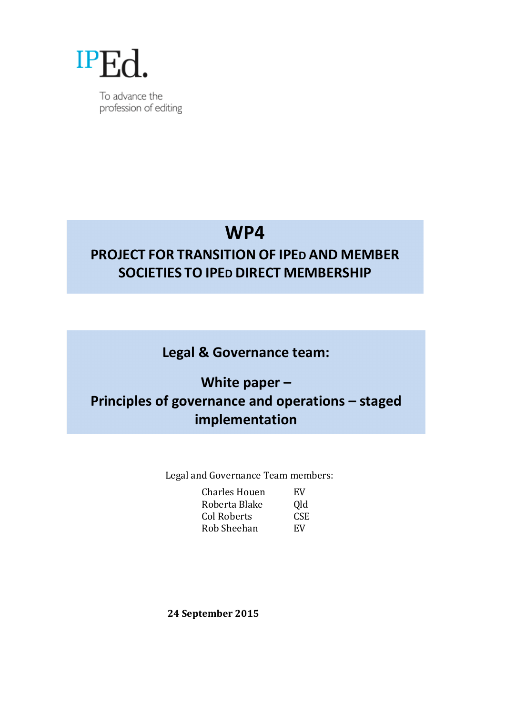

To advance the profession of editing

# **WP4**

# **PROJECT FOR TRANSITION OF IPED AND MEMBER SOCIETIES TO IPED DIRECT MEMBERSHIP**

Legal & Governance team:

# **White paper – Principles of governance and operations – staged implementation**

Legal and Governance Team members:

| Charles Houen | EV  |
|---------------|-----|
| Roberta Blake | Qld |
| Col Roberts   | CSE |
| Rob Sheehan   | EV  |

**24 September 2015**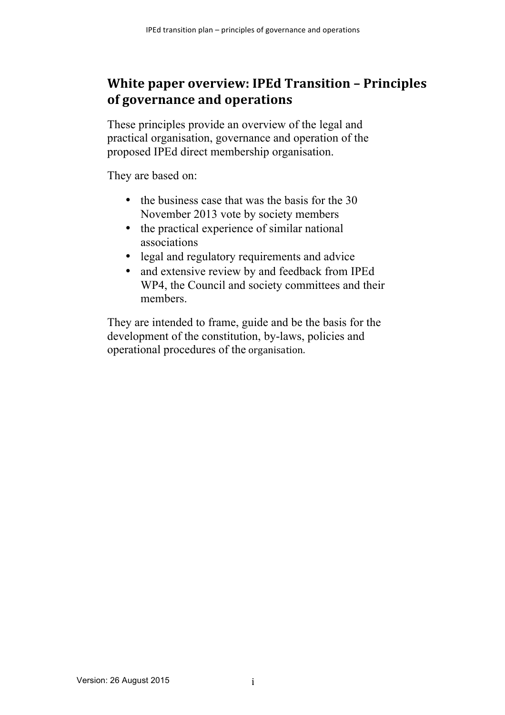# **White paper overview: IPEd Transition - Principles of governance and operations**

These principles provide an overview of the legal and practical organisation, governance and operation of the proposed IPEd direct membership organisation.

They are based on:

- the business case that was the basis for the 30 November 2013 vote by society members
- the practical experience of similar national associations
- legal and regulatory requirements and advice
- and extensive review by and feedback from IPEd WP4, the Council and society committees and their members.

They are intended to frame, guide and be the basis for the development of the constitution, by-laws, policies and operational procedures of the organisation.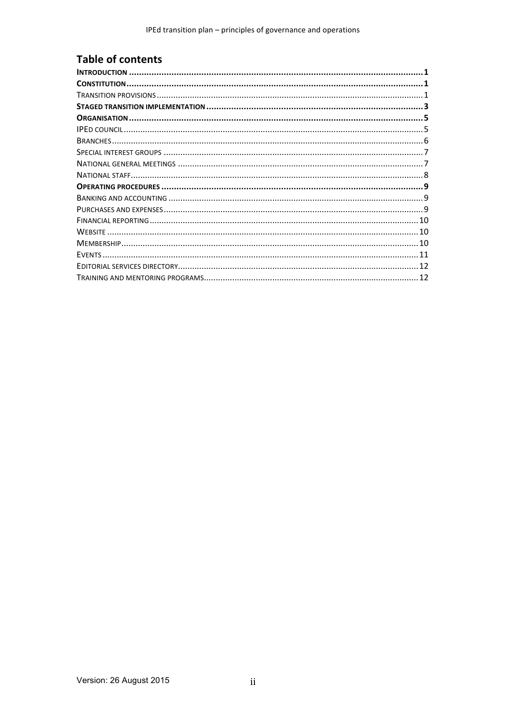### **Table of contents**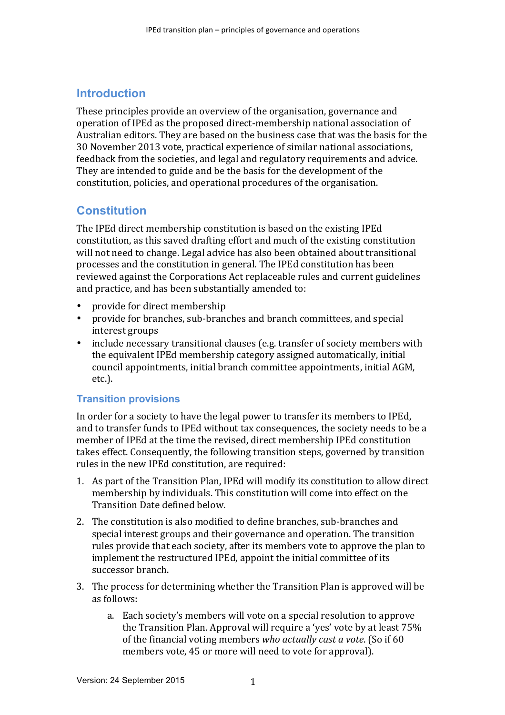### **Introduction**

These principles provide an overview of the organisation, governance and operation of IPEd as the proposed direct-membership national association of Australian editors. They are based on the business case that was the basis for the 30 November 2013 vote, practical experience of similar national associations, feedback from the societies, and legal and regulatory requirements and advice. They are intended to guide and be the basis for the development of the constitution, policies, and operational procedures of the organisation.

### **Constitution**

The IPEd direct membership constitution is based on the existing IPEd constitution, as this saved drafting effort and much of the existing constitution will not need to change. Legal advice has also been obtained about transitional processes and the constitution in general. The IPEd constitution has been reviewed against the Corporations Act replaceable rules and current guidelines and practice, and has been substantially amended to:

- provide for direct membership
- provide for branches, sub-branches and branch committees, and special interest groups
- include necessary transitional clauses (e.g. transfer of society members with the equivalent IPEd membership category assigned automatically, initial council appointments, initial branch committee appointments, initial AGM, etc.).

#### **Transition provisions**

In order for a society to have the legal power to transfer its members to IPEd, and to transfer funds to IPEd without tax consequences, the society needs to be a member of IPEd at the time the revised, direct membership IPEd constitution takes effect. Consequently, the following transition steps, governed by transition rules in the new IPEd constitution, are required:

- 1. As part of the Transition Plan, IPEd will modify its constitution to allow direct membership by individuals. This constitution will come into effect on the Transition Date defined below.
- 2. The constitution is also modified to define branches, sub-branches and special interest groups and their governance and operation. The transition rules provide that each society, after its members vote to approve the plan to implement the restructured IPEd, appoint the initial committee of its successor branch.
- 3. The process for determining whether the Transition Plan is approved will be as follows:
	- a. Each society's members will vote on a special resolution to approve the Transition Plan. Approval will require a 'yes' vote by at least  $75\%$ of the financial voting members *who actually cast a vote*. (So if 60) members vote, 45 or more will need to vote for approval).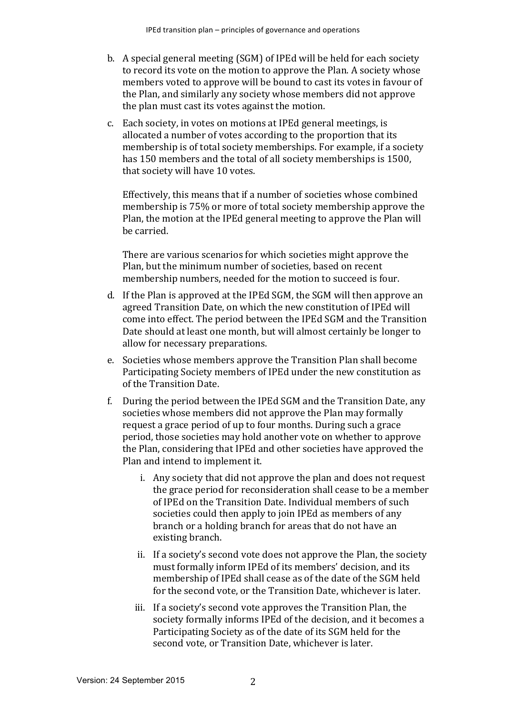- b. A special general meeting (SGM) of IPEd will be held for each society to record its vote on the motion to approve the Plan. A society whose members voted to approve will be bound to cast its votes in favour of the Plan, and similarly any society whose members did not approve the plan must cast its votes against the motion.
- c. Each society, in votes on motions at IPEd general meetings, is allocated a number of votes according to the proportion that its membership is of total society memberships. For example, if a society has 150 members and the total of all society memberships is 1500, that society will have 10 votes.

Effectively, this means that if a number of societies whose combined membership is 75% or more of total society membership approve the Plan, the motion at the IPEd general meeting to approve the Plan will be carried.

There are various scenarios for which societies might approve the Plan, but the minimum number of societies, based on recent membership numbers, needed for the motion to succeed is four.

- d. If the Plan is approved at the IPEd SGM, the SGM will then approve an agreed Transition Date, on which the new constitution of IPEd will come into effect. The period between the IPEd SGM and the Transition Date should at least one month, but will almost certainly be longer to allow for necessary preparations.
- e. Societies whose members approve the Transition Plan shall become Participating Society members of IPEd under the new constitution as of the Transition Date.
- f. During the period between the IPEd SGM and the Transition Date, any societies whose members did not approve the Plan may formally request a grace period of up to four months. During such a grace period, those societies may hold another vote on whether to approve the Plan, considering that IPEd and other societies have approved the Plan and intend to implement it.
	- i. Any society that did not approve the plan and does not request the grace period for reconsideration shall cease to be a member of IPEd on the Transition Date. Individual members of such societies could then apply to join IPEd as members of any branch or a holding branch for areas that do not have an existing branch.
	- ii. If a society's second vote does not approve the Plan, the society must formally inform IPEd of its members' decision, and its membership of IPEd shall cease as of the date of the SGM held for the second vote, or the Transition Date, whichever is later.
	- iii. If a society's second vote approves the Transition Plan, the society formally informs IPEd of the decision, and it becomes a Participating Society as of the date of its SGM held for the second vote, or Transition Date, whichever is later.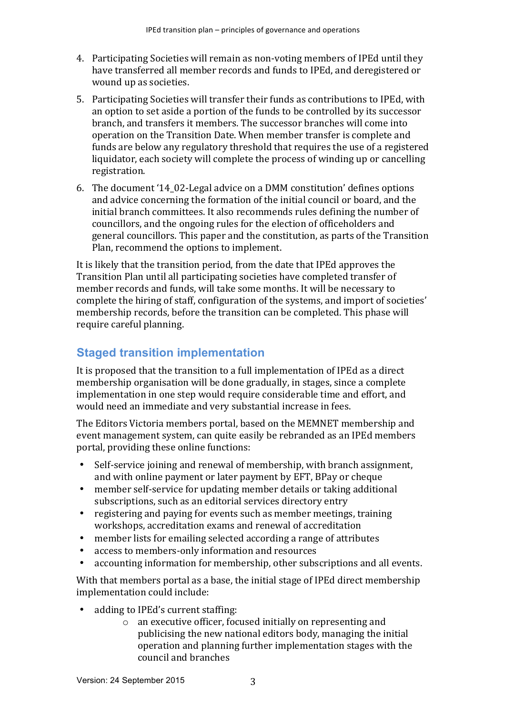- 4. Participating Societies will remain as non-voting members of IPEd until they have transferred all member records and funds to IPEd, and deregistered or wound up as societies.
- 5. Participating Societies will transfer their funds as contributions to IPEd, with an option to set aside a portion of the funds to be controlled by its successor branch, and transfers it members. The successor branches will come into operation on the Transition Date. When member transfer is complete and funds are below any regulatory threshold that requires the use of a registered liquidator, each society will complete the process of winding up or cancelling registration.
- 6. The document '14 02-Legal advice on a DMM constitution' defines options and advice concerning the formation of the initial council or board, and the initial branch committees. It also recommends rules defining the number of councillors, and the ongoing rules for the election of officeholders and general councillors. This paper and the constitution, as parts of the Transition Plan, recommend the options to implement.

It is likely that the transition period, from the date that IPEd approves the Transition Plan until all participating societies have completed transfer of member records and funds, will take some months. It will be necessary to complete the hiring of staff, configuration of the systems, and import of societies' membership records, before the transition can be completed. This phase will require careful planning.

## **Staged transition implementation**

It is proposed that the transition to a full implementation of IPEd as a direct membership organisation will be done gradually, in stages, since a complete implementation in one step would require considerable time and effort, and would need an immediate and very substantial increase in fees.

The Editors Victoria members portal, based on the MEMNET membership and event management system, can quite easily be rebranded as an IPEd members portal, providing these online functions:

- Self-service joining and renewal of membership, with branch assignment, and with online payment or later payment by EFT, BPay or cheque
- member self-service for updating member details or taking additional subscriptions, such as an editorial services directory entry
- registering and paying for events such as member meetings, training workshops, accreditation exams and renewal of accreditation
- member lists for emailing selected according a range of attributes
- access to members-only information and resources
- accounting information for membership, other subscriptions and all events.

With that members portal as a base, the initial stage of IPEd direct membership implementation could include:

- adding to IPEd's current staffing:
	- $\circ$  an executive officer, focused initially on representing and publicising the new national editors body, managing the initial operation and planning further implementation stages with the council and branches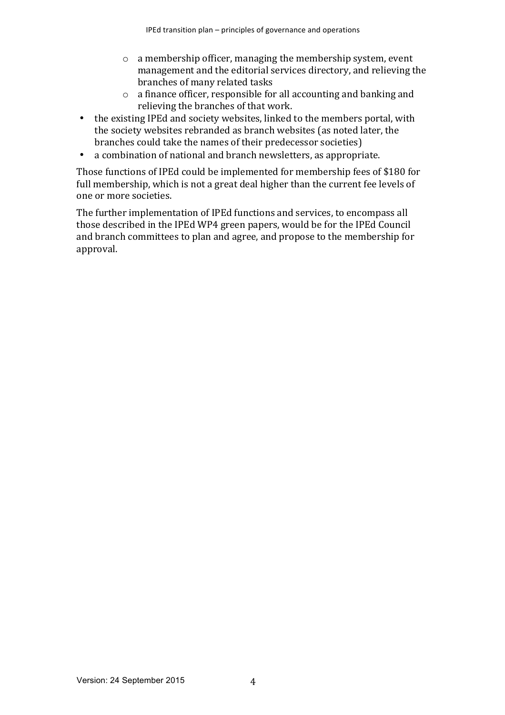- $\circ$  a membership officer, managing the membership system, event management and the editorial services directory, and relieving the branches of many related tasks
- $\circ$  a finance officer, responsible for all accounting and banking and relieving the branches of that work.
- the existing IPEd and society websites, linked to the members portal, with the society websites rebranded as branch websites (as noted later, the branches could take the names of their predecessor societies)
- a combination of national and branch newsletters, as appropriate.

Those functions of IPEd could be implemented for membership fees of \$180 for full membership, which is not a great deal higher than the current fee levels of one or more societies.

The further implementation of IPEd functions and services, to encompass all those described in the IPEd WP4 green papers, would be for the IPEd Council and branch committees to plan and agree, and propose to the membership for approval.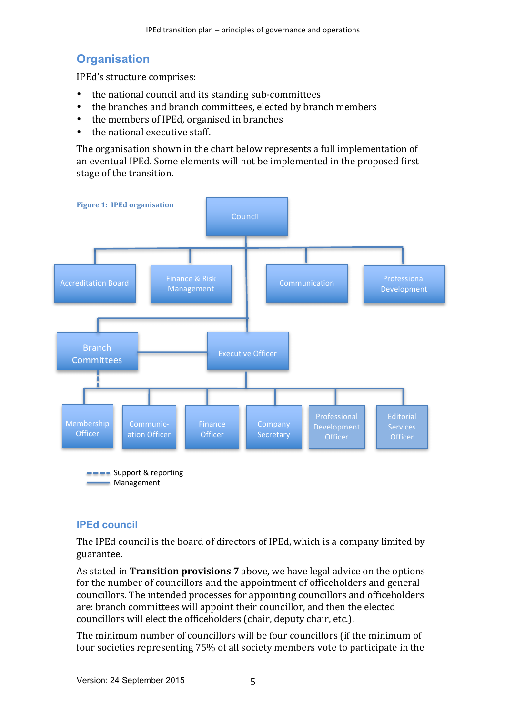## **Organisation**

IPEd's structure comprises:

- the national council and its standing sub-committees
- the branches and branch committees, elected by branch members
- the members of IPEd, organised in branches
- the national executive staff.

The organisation shown in the chart below represents a full implementation of an eventual IPEd. Some elements will not be implemented in the proposed first stage of the transition.



#### **IPEd council**

The IPEd council is the board of directors of IPEd, which is a company limited by guarantee.

As stated in **Transition provisions** 7 above, we have legal advice on the options for the number of councillors and the appointment of officeholders and general councillors. The intended processes for appointing councillors and officeholders are: branch committees will appoint their councillor, and then the elected councillors will elect the officeholders (chair, deputy chair, etc.).

The minimum number of councillors will be four councillors (if the minimum of four societies representing 75% of all society members vote to participate in the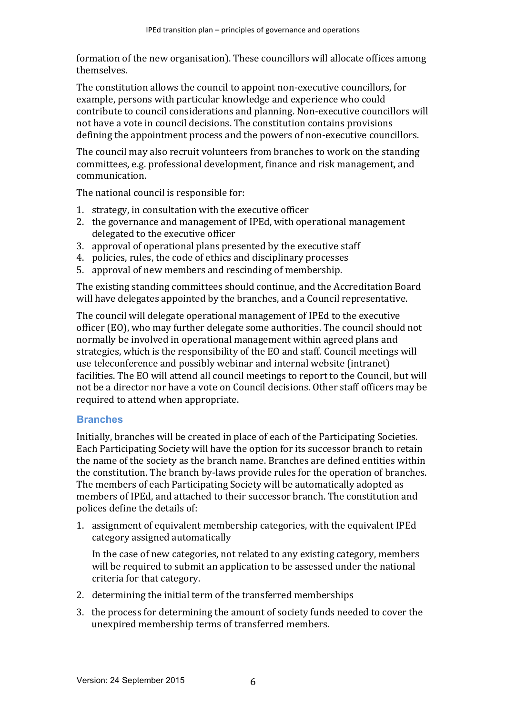formation of the new organisation). These councillors will allocate offices among themselves. 

The constitution allows the council to appoint non-executive councillors, for example, persons with particular knowledge and experience who could contribute to council considerations and planning. Non-executive councillors will not have a vote in council decisions. The constitution contains provisions defining the appointment process and the powers of non-executive councillors.

The council may also recruit volunteers from branches to work on the standing committees, e.g. professional development, finance and risk management, and communication.

The national council is responsible for:

- 1. strategy, in consultation with the executive officer
- 2. the governance and management of IPEd, with operational management delegated to the executive officer
- 3. approval of operational plans presented by the executive staff
- 4. policies, rules, the code of ethics and disciplinary processes
- 5. approval of new members and rescinding of membership.

The existing standing committees should continue, and the Accreditation Board will have delegates appointed by the branches, and a Council representative.

The council will delegate operational management of IPEd to the executive officer (EO), who may further delegate some authorities. The council should not normally be involved in operational management within agreed plans and strategies, which is the responsibility of the EO and staff. Council meetings will use teleconference and possibly webinar and internal website (intranet) facilities. The EO will attend all council meetings to report to the Council, but will not be a director nor have a vote on Council decisions. Other staff officers may be required to attend when appropriate.

#### **Branches**

Initially, branches will be created in place of each of the Participating Societies. Each Participating Society will have the option for its successor branch to retain the name of the society as the branch name. Branches are defined entities within the constitution. The branch by-laws provide rules for the operation of branches. The members of each Participating Society will be automatically adopted as members of IPEd, and attached to their successor branch. The constitution and polices define the details of:

1. assignment of equivalent membership categories, with the equivalent IPEd category assigned automatically

In the case of new categories, not related to any existing category, members will be required to submit an application to be assessed under the national criteria for that category.

- 2. determining the initial term of the transferred memberships
- 3. the process for determining the amount of society funds needed to cover the unexpired membership terms of transferred members.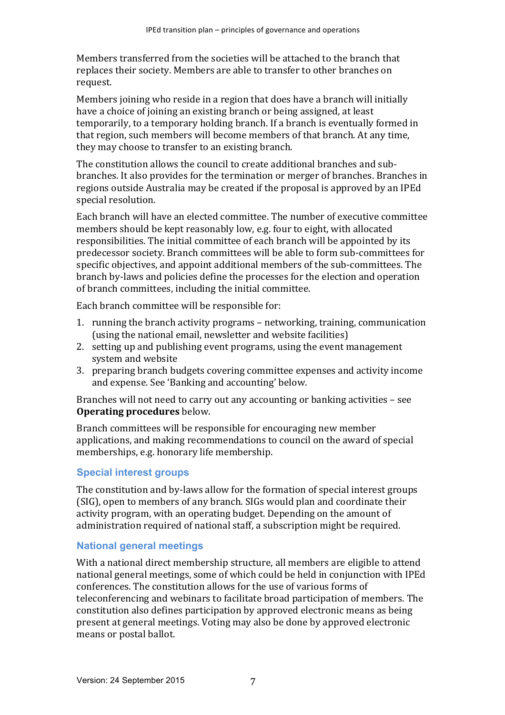Members transferred from the societies will be attached to the branch that replaces their society. Members are able to transfer to other branches on request.

Members joining who reside in a region that does have a branch will initially have a choice of joining an existing branch or being assigned, at least temporarily, to a temporary holding branch. If a branch is eventually formed in that region, such members will become members of that branch. At any time, they may choose to transfer to an existing branch.

The constitution allows the council to create additional branches and subbranches. It also provides for the termination or merger of branches. Branches in regions outside Australia may be created if the proposal is approved by an IPEd special resolution.

Each branch will have an elected committee. The number of executive committee members should be kept reasonably low, e.g. four to eight, with allocated responsibilities. The initial committee of each branch will be appointed by its predecessor society. Branch committees will be able to form sub-committees for specific objectives, and appoint additional members of the sub-committees. The branch by-laws and policies define the processes for the election and operation of branch committees, including the initial committee.

Each branch committee will be responsible for:

- 1. running the branch activity programs networking, training, communication (using the national email, newsletter and website facilities)
- 2. setting up and publishing event programs, using the event management system and website
- 3. preparing branch budgets covering committee expenses and activity income and expense. See 'Banking and accounting' below.

Branches will not need to carry out any accounting or banking activities - see **Operating procedures** below.

Branch committees will be responsible for encouraging new member applications, and making recommendations to council on the award of special memberships, e.g. honorary life membership.

#### **Special interest groups**

The constitution and by-laws allow for the formation of special interest groups (SIG), open to members of any branch. SIGs would plan and coordinate their activity program, with an operating budget. Depending on the amount of administration required of national staff, a subscription might be required.

#### **National general meetings**

With a national direct membership structure, all members are eligible to attend national general meetings, some of which could be held in conjunction with IPEd conferences. The constitution allows for the use of various forms of teleconferencing and webinars to facilitate broad participation of members. The constitution also defines participation by approved electronic means as being present at general meetings. Voting may also be done by approved electronic means or postal ballot.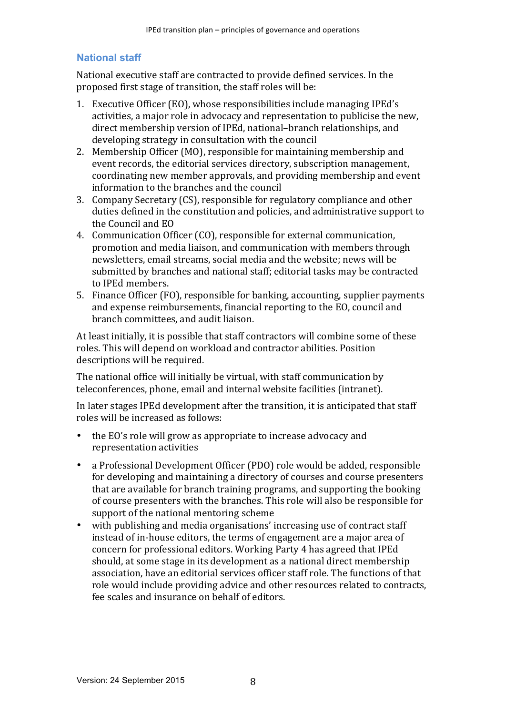#### **National staff**

National executive staff are contracted to provide defined services. In the proposed first stage of transition, the staff roles will be:

- 1. Executive Officer (EO), whose responsibilities include managing IPEd's activities, a major role in advocacy and representation to publicise the new, direct membership version of IPEd, national-branch relationships, and developing strategy in consultation with the council
- 2. Membership Officer (MO), responsible for maintaining membership and event records, the editorial services directory, subscription management, coordinating new member approvals, and providing membership and event information to the branches and the council
- 3. Company Secretary (CS), responsible for regulatory compliance and other duties defined in the constitution and policies, and administrative support to the Council and EO
- 4. Communication Officer (CO), responsible for external communication, promotion and media liaison, and communication with members through newsletters, email streams, social media and the website; news will be submitted by branches and national staff; editorial tasks may be contracted to IPEd members.
- 5. Finance Officer (FO), responsible for banking, accounting, supplier payments and expense reimbursements, financial reporting to the EO, council and branch committees, and audit liaison.

At least initially, it is possible that staff contractors will combine some of these roles. This will depend on workload and contractor abilities. Position descriptions will be required.

The national office will initially be virtual, with staff communication by teleconferences, phone, email and internal website facilities (intranet).

In later stages IPEd development after the transition, it is anticipated that staff roles will be increased as follows:

- $\bullet$  the EO's role will grow as appropriate to increase advocacy and representation activities
- a Professional Development Officer (PDO) role would be added, responsible for developing and maintaining a directory of courses and course presenters that are available for branch training programs, and supporting the booking of course presenters with the branches. This role will also be responsible for support of the national mentoring scheme
- with publishing and media organisations' increasing use of contract staff instead of in-house editors, the terms of engagement are a major area of concern for professional editors. Working Party 4 has agreed that IPEd should, at some stage in its development as a national direct membership association, have an editorial services officer staff role. The functions of that role would include providing advice and other resources related to contracts, fee scales and insurance on behalf of editors.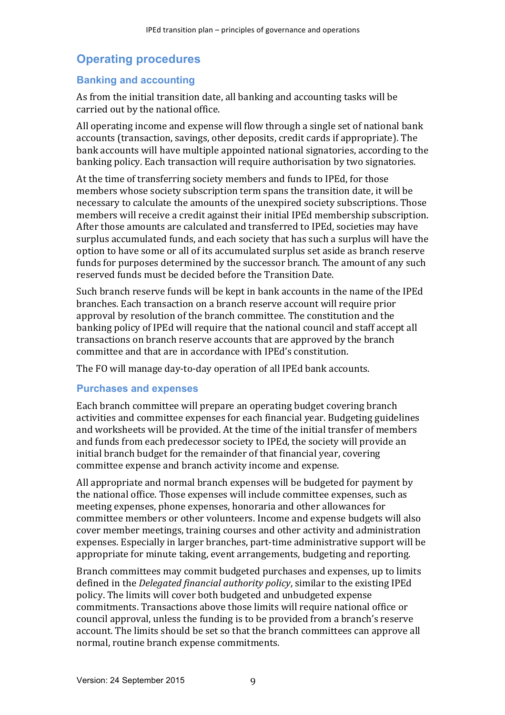## **Operating procedures**

#### **Banking and accounting**

As from the initial transition date, all banking and accounting tasks will be carried out by the national office.

All operating income and expense will flow through a single set of national bank accounts (transaction, savings, other deposits, credit cards if appropriate). The bank accounts will have multiple appointed national signatories, according to the banking policy. Each transaction will require authorisation by two signatories.

At the time of transferring society members and funds to IPEd, for those members whose society subscription term spans the transition date, it will be necessary to calculate the amounts of the unexpired society subscriptions. Those members will receive a credit against their initial IPEd membership subscription. After those amounts are calculated and transferred to IPEd, societies may have surplus accumulated funds, and each society that has such a surplus will have the option to have some or all of its accumulated surplus set aside as branch reserve funds for purposes determined by the successor branch. The amount of any such reserved funds must be decided before the Transition Date.

Such branch reserve funds will be kept in bank accounts in the name of the IPEd branches. Each transaction on a branch reserve account will require prior approval by resolution of the branch committee. The constitution and the banking policy of IPEd will require that the national council and staff accept all transactions on branch reserve accounts that are approved by the branch committee and that are in accordance with IPEd's constitution.

The FO will manage day-to-day operation of all IPEd bank accounts.

#### **Purchases and expenses**

Each branch committee will prepare an operating budget covering branch activities and committee expenses for each financial year. Budgeting guidelines and worksheets will be provided. At the time of the initial transfer of members and funds from each predecessor society to IPEd, the society will provide an initial branch budget for the remainder of that financial vear, covering committee expense and branch activity income and expense.

All appropriate and normal branch expenses will be budgeted for payment by the national office. Those expenses will include committee expenses, such as meeting expenses, phone expenses, honoraria and other allowances for committee members or other volunteers. Income and expense budgets will also cover member meetings, training courses and other activity and administration expenses. Especially in larger branches, part-time administrative support will be appropriate for minute taking, event arrangements, budgeting and reporting.

Branch committees may commit budgeted purchases and expenses, up to limits defined in the *Delegated financial authority policy*, similar to the existing IPEd policy. The limits will cover both budgeted and unbudgeted expense commitments. Transactions above those limits will require national office or council approval, unless the funding is to be provided from a branch's reserve account. The limits should be set so that the branch committees can approve all normal, routine branch expense commitments.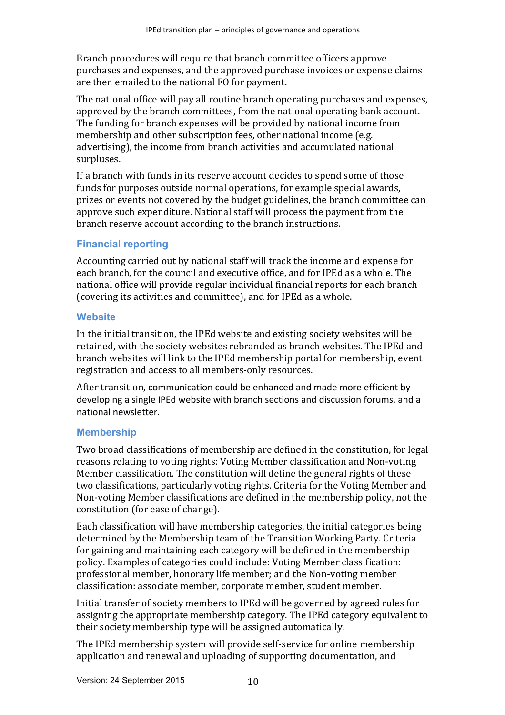Branch procedures will require that branch committee officers approve purchases and expenses, and the approved purchase invoices or expense claims are then emailed to the national FO for payment.

The national office will pay all routine branch operating purchases and expenses, approved by the branch committees, from the national operating bank account. The funding for branch expenses will be provided by national income from membership and other subscription fees, other national income (e.g. advertising), the income from branch activities and accumulated national surpluses. 

If a branch with funds in its reserve account decides to spend some of those funds for purposes outside normal operations, for example special awards, prizes or events not covered by the budget guidelines, the branch committee can approve such expenditure. National staff will process the payment from the branch reserve account according to the branch instructions.

#### **Financial reporting**

Accounting carried out by national staff will track the income and expense for each branch, for the council and executive office, and for IPEd as a whole. The national office will provide regular individual financial reports for each branch (covering its activities and committee), and for IPEd as a whole.

#### **Website**

In the initial transition, the IPEd website and existing society websites will be retained, with the society websites rebranded as branch websites. The IPEd and branch websites will link to the IPEd membership portal for membership, event registration and access to all members-only resources.

After transition, communication could be enhanced and made more efficient by developing a single IPEd website with branch sections and discussion forums, and a national newsletter.

#### **Membership**

Two broad classifications of membership are defined in the constitution, for legal reasons relating to voting rights: Voting Member classification and Non-voting Member classification. The constitution will define the general rights of these two classifications, particularly voting rights. Criteria for the Voting Member and Non-voting Member classifications are defined in the membership policy, not the constitution (for ease of change).

Each classification will have membership categories, the initial categories being determined by the Membership team of the Transition Working Party. Criteria for gaining and maintaining each category will be defined in the membership policy. Examples of categories could include: Voting Member classification: professional member, honorary life member; and the Non-voting member classification: associate member, corporate member, student member.

Initial transfer of society members to IPEd will be governed by agreed rules for assigning the appropriate membership category. The IPEd category equivalent to their society membership type will be assigned automatically.

The IPEd membership system will provide self-service for online membership application and renewal and uploading of supporting documentation, and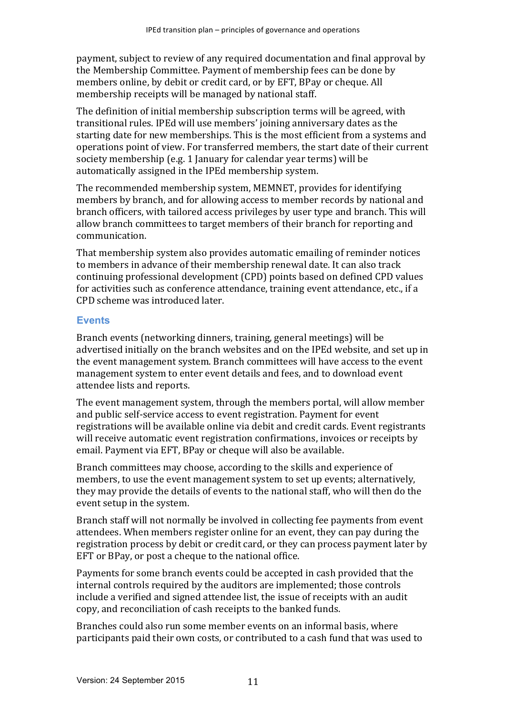payment, subject to review of any required documentation and final approval by the Membership Committee. Payment of membership fees can be done by members online, by debit or credit card, or by EFT, BPay or cheque. All membership receipts will be managed by national staff.

The definition of initial membership subscription terms will be agreed, with transitional rules. IPEd will use members' joining anniversary dates as the starting date for new memberships. This is the most efficient from a systems and operations point of view. For transferred members, the start date of their current society membership (e.g. 1 January for calendar year terms) will be automatically assigned in the IPEd membership system.

The recommended membership system, MEMNET, provides for identifying members by branch, and for allowing access to member records by national and branch officers, with tailored access privileges by user type and branch. This will allow branch committees to target members of their branch for reporting and communication.

That membership system also provides automatic emailing of reminder notices to members in advance of their membership renewal date. It can also track continuing professional development (CPD) points based on defined CPD values for activities such as conference attendance, training event attendance, etc., if a CPD scheme was introduced later.

#### **Events**

Branch events (networking dinners, training, general meetings) will be advertised initially on the branch websites and on the IPEd website, and set up in the event management system. Branch committees will have access to the event management system to enter event details and fees, and to download event attendee lists and reports.

The event management system, through the members portal, will allow member and public self-service access to event registration. Payment for event registrations will be available online via debit and credit cards. Event registrants will receive automatic event registration confirmations, invoices or receipts by email. Payment via EFT, BPay or cheque will also be available.

Branch committees may choose, according to the skills and experience of members, to use the event management system to set up events; alternatively, they may provide the details of events to the national staff, who will then do the event setup in the system.

Branch staff will not normally be involved in collecting fee payments from event attendees. When members register online for an event, they can pay during the registration process by debit or credit card, or they can process payment later by EFT or BPay, or post a cheque to the national office.

Payments for some branch events could be accepted in cash provided that the internal controls required by the auditors are implemented; those controls include a verified and signed attendee list, the issue of receipts with an audit copy, and reconciliation of cash receipts to the banked funds.

Branches could also run some member events on an informal basis, where participants paid their own costs, or contributed to a cash fund that was used to